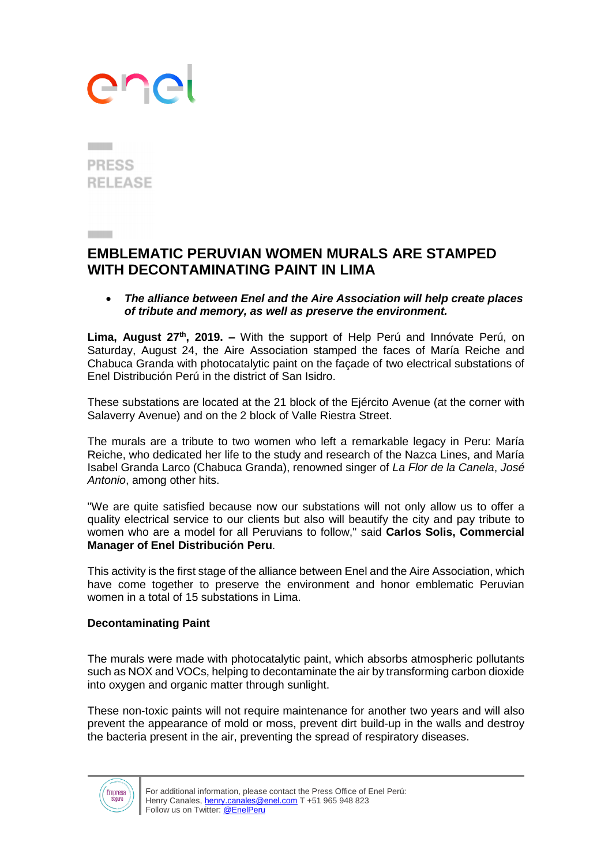## ane

**PRESS RELEASE** 

## **EMBLEMATIC PERUVIAN WOMEN MURALS ARE STAMPED WITH DECONTAMINATING PAINT IN LIMA**

 *The alliance between Enel and the Aire Association will help create places of tribute and memory, as well as preserve the environment.*

Lima, August 27<sup>th</sup>, 2019. – With the support of Help Perú and Innóvate Perú, on Saturday, August 24, the Aire Association stamped the faces of María Reiche and Chabuca Granda with photocatalytic paint on the façade of two electrical substations of Enel Distribución Perú in the district of San Isidro.

These substations are located at the 21 block of the Ejército Avenue (at the corner with Salaverry Avenue) and on the 2 block of Valle Riestra Street.

The murals are a tribute to two women who left a remarkable legacy in Peru: María Reiche, who dedicated her life to the study and research of the Nazca Lines, and María Isabel Granda Larco (Chabuca Granda), renowned singer of *La Flor de la Canela*, *José Antonio*, among other hits.

"We are quite satisfied because now our substations will not only allow us to offer a quality electrical service to our clients but also will beautify the city and pay tribute to women who are a model for all Peruvians to follow," said **Carlos Solis, Commercial Manager of Enel Distribución Peru**.

This activity is the first stage of the alliance between Enel and the Aire Association, which have come together to preserve the environment and honor emblematic Peruvian women in a total of 15 substations in Lima.

## **Decontaminating Paint**

The murals were made with photocatalytic paint, which absorbs atmospheric pollutants such as NOX and VOCs, helping to decontaminate the air by transforming carbon dioxide into oxygen and organic matter through sunlight.

These non-toxic paints will not require maintenance for another two years and will also prevent the appearance of mold or moss, prevent dirt build-up in the walls and destroy the bacteria present in the air, preventing the spread of respiratory diseases.